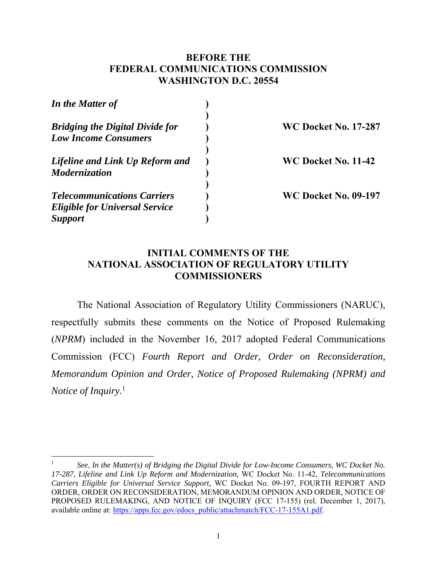## **BEFORE THE FEDERAL COMMUNICATIONS COMMISSION WASHINGTON D.C. 20554**

| In the Matter of                       |                             |
|----------------------------------------|-----------------------------|
| <b>Bridging the Digital Divide for</b> | <b>WC Docket No. 17-287</b> |
| <b>Low Income Consumers</b>            |                             |
| Lifeline and Link Up Reform and        | WC Docket No. 11-42         |
| <b>Modernization</b>                   |                             |
| <b>Telecommunications Carriers</b>     | <b>WC Docket No. 09-197</b> |
| <b>Eligible for Universal Service</b>  |                             |
| <i>Support</i>                         |                             |

## **INITIAL COMMENTS OF THE NATIONAL ASSOCIATION OF REGULATORY UTILITY COMMISSIONERS**

The National Association of Regulatory Utility Commissioners (NARUC), respectfully submits these comments on the Notice of Proposed Rulemaking (*NPRM*) included in the November 16, 2017 adopted Federal Communications Commission (FCC) *Fourth Report and Order, Order on Reconsideration, Memorandum Opinion and Order, Notice of Proposed Rulemaking (NPRM) and Notice of Inquiry.*<sup>1</sup>

<sup>1</sup> *See*, *In the Matter(s) of Bridging the Digital Divide for Low-Income Consumers, WC Docket No. 17-287, Lifeline and Link Up Reform and Modernization,* WC Docket No. 11-42, *Telecommunications Carriers Eligible for Universal Service Support,* WC Docket No. 09-197, FOURTH REPORT AND ORDER, ORDER ON RECONSIDERATION, MEMORANDUM OPINION AND ORDER, NOTICE OF PROPOSED RULEMAKING, AND NOTICE OF INQUIRY (FCC 17-155) (rel. December 1, 2017), available online at: https://apps.fcc.gov/edocs\_public/attachmatch/FCC-17-155A1.pdf.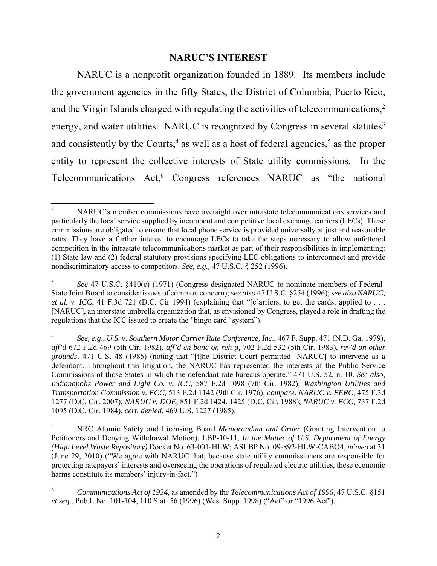### **NARUC'S INTEREST**

NARUC is a nonprofit organization founded in 1889. Its members include the government agencies in the fifty States, the District of Columbia, Puerto Rico, and the Virgin Islands charged with regulating the activities of telecommunications,<sup>2</sup> energy, and water utilities. NARUC is recognized by Congress in several statutes<sup>3</sup> and consistently by the Courts,<sup>4</sup> as well as a host of federal agencies,<sup>5</sup> as the proper entity to represent the collective interests of State utility commissions*.* In the Telecommunications Act,<sup>6</sup> Congress references NARUC as "the national

 2 NARUC's member commissions have oversight over intrastate telecommunications services and particularly the local service supplied by incumbent and competitive local exchange carriers (LECs). These commissions are obligated to ensure that local phone service is provided universally at just and reasonable rates. They have a further interest to encourage LECs to take the steps necessary to allow unfettered competition in the intrastate telecommunications market as part of their responsibilities in implementing: (1) State law and (2) federal statutory provisions specifying LEC obligations to interconnect and provide nondiscriminatory access to competitors. *See, e.g.,* 47 U.S.C. § 252 (1996).

<sup>3</sup> *See* 47 U.S.C. §410(c) (1971) (Congress designated NARUC to nominate members of Federal-State Joint Board to consider issues of common concern); *see also* 47 U.S.C. §254 (1996); *see also NARUC, et al. v. ICC*, 41 F.3d 721 (D.C. Cir 1994) (explaining that "[c]arriers, to get the cards, applied to . . . [NARUC], an interstate umbrella organization that, as envisioned by Congress, played a role in drafting the regulations that the ICC issued to create the "bingo card" system").

<sup>4</sup> *See, e.g*., *U.S. v. Southern Motor Carrier Rate Conference, Inc*., 467 F. Supp. 471 (N.D. Ga. 1979), *aff'd* 672 F.2d 469 (5th Cir. 1982), *aff'd en banc on reh'g,* 702 F.2d 532 (5th Cir. 1983), *rev'd on other grounds,* 471 U.S. 48 (1985) (noting that "[t]he District Court permitted [NARUC] to intervene as a defendant. Throughout this litigation, the NARUC has represented the interests of the Public Service Commissions of those States in which the defendant rate bureaus operate." 471 U.S. 52, n. 10. *See also*, *Indianapolis Power and Light Co. v. ICC*, 587 F.2d 1098 (7th Cir. 1982); *Washington Utilities and Transportation Commission v. FCC*, 513 F.2d 1142 (9th Cir. 1976); *compare*, *NARUC v. FERC*, 475 F.3d 1277 (D.C. Cir. 2007); *NARUC v. DOE*, 851 F.2d 1424, 1425 (D.C. Cir. 1988); *NARUC v. FCC*, 737 F.2d 1095 (D.C. Cir. 1984), *cert. denied*, 469 U.S. 1227 (1985).

<sup>5</sup> NRC Atomic Safety and Licensing Board *Memorandum and Order* (Granting Intervention to Petitioners and Denying Withdrawal Motion), LBP-10-11, *In the Matter of U.S. Department of Energy (High Level Waste Repository)* Docket No. 63-001-HLW; ASLBP No. 09-892-HLW-CABO4, *mimeo* at 31 (June 29, 2010) ("We agree with NARUC that, because state utility commissioners are responsible for protecting ratepayers' interests and overseeing the operations of regulated electric utilities, these economic harms constitute its members' injury-in-fact.")

<sup>6</sup>  *Communications Act of 1934*, as amended by the *Telecommunications Act of 1996*, 47 U.S.C. §151 *et seq*., Pub.L.No. 101-104, 110 Stat. 56 (1996) (West Supp. 1998) ("Act" or "1996 Act").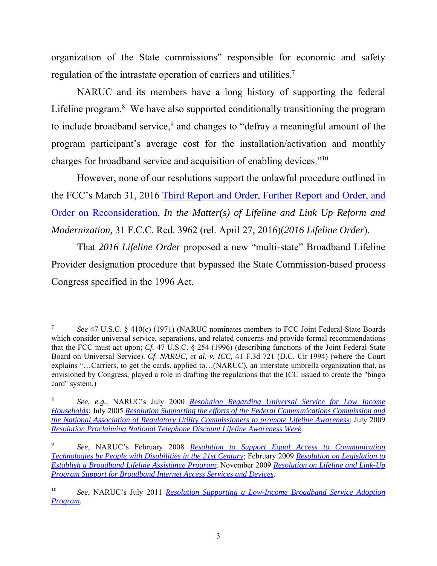organization of the State commissions" responsible for economic and safety regulation of the intrastate operation of carriers and utilities.<sup>7</sup>

NARUC and its members have a long history of supporting the federal Lifeline program. $8$  We have also supported conditionally transitioning the program to include broadband service,<sup>9</sup> and changes to "defray a meaningful amount of the program participant's average cost for the installation/activation and monthly charges for broadband service and acquisition of enabling devices."10

However, none of our resolutions support the unlawful procedure outlined in the FCC's March 31, 2016 Third Report and Order, Further Report and Order, and Order on Reconsideration, *In the Matter(s) of Lifeline and Link Up Reform and Modernization,* 31 F.C.C. Rcd. 3962 (rel. April 27, 2016)(*2016 Lifeline Order*).

That *2016 Lifeline Order* proposed a new "multi-state" Broadband Lifeline Provider designation procedure that bypassed the State Commission-based process Congress specified in the 1996 Act.

 7  *See* 47 U.S.C. § 410(c) (1971) (NARUC nominates members to FCC Joint Federal-State Boards which consider universal service, separations, and related concerns and provide formal recommendations that the FCC must act upon; *Cf.* 47 U.S.C. § 254 (1996) (describing functions of the Joint Federal-State Board on Universal Service). *Cf. NARUC, et al. v. ICC,* 41 F.3d 721 (D.C. Cir 1994) (where the Court explains "…Carriers, to get the cards, applied to…(NARUC), an interstate umbrella organization that, as envisioned by Congress, played a role in drafting the regulations that the ICC issued to create the "bingo card" system.)

<sup>8</sup> *See, e.g.,* NARUC's July 2000 *Resolution Regarding Universal Service for Low Income Households*; July 2005 *Resolution Supporting the efforts of the Federal Communications Commission and the National Association of Regulatory Utility Commissioners to promote Lifeline Awarenes*s; July 2009 *Resolution Proclaiming National Telephone Discount Lifeline Awareness Week*.

<sup>9</sup> *See*, NARUC's February 2008 *Resolution to Support Equal Access to Communication Technologies by People with Disabilities in the 21st Century*; February 2009 *Resolution on Legislation to Establish a Broadband Lifeline Assistance Program*; November 2009 *Resolution on Lifeline and Link-Up Program Support for Broadband Internet Access Services and Devices*.

<sup>10</sup> *See*, NARUC's July 2011 *Resolution Supporting a Low-Income Broadband Service Adoption Program.*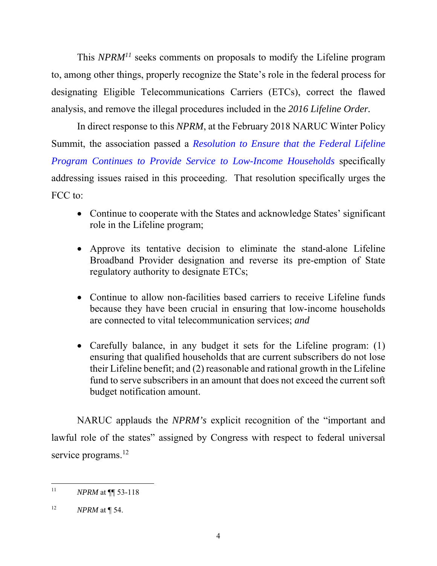This *NPRM<sup>11</sup>* seeks comments on proposals to modify the Lifeline program to, among other things, properly recognize the State's role in the federal process for designating Eligible Telecommunications Carriers (ETCs), correct the flawed analysis, and remove the illegal procedures included in the *2016 Lifeline Order.*

In direct response to this *NPRM*, at the February 2018 NARUC Winter Policy Summit, the association passed a *Resolution to Ensure that the Federal Lifeline Program Continues to Provide Service to Low-Income Households* specifically addressing issues raised in this proceeding. That resolution specifically urges the FCC to:

- Continue to cooperate with the States and acknowledge States' significant role in the Lifeline program;
- Approve its tentative decision to eliminate the stand-alone Lifeline Broadband Provider designation and reverse its pre-emption of State regulatory authority to designate ETCs;
- Continue to allow non-facilities based carriers to receive Lifeline funds because they have been crucial in ensuring that low-income households are connected to vital telecommunication services; *and*
- Carefully balance, in any budget it sets for the Lifeline program: (1) ensuring that qualified households that are current subscribers do not lose their Lifeline benefit; and (2) reasonable and rational growth in the Lifeline fund to serve subscribers in an amount that does not exceed the current soft budget notification amount.

NARUC applauds the *NPRM's* explicit recognition of the "important and lawful role of the states" assigned by Congress with respect to federal universal service programs.<sup>12</sup>

 11 *NPRM* at ¶¶ 53-118

<sup>12</sup> *NPRM* at ¶ 54.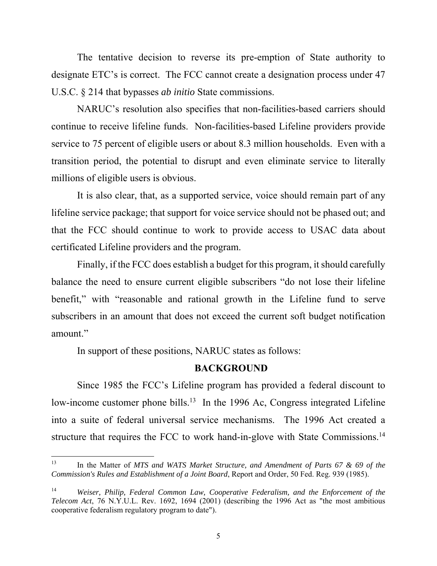The tentative decision to reverse its pre-emption of State authority to designate ETC's is correct. The FCC cannot create a designation process under 47 U.S.C. § 214 that bypasses *ab initio* State commissions.

NARUC's resolution also specifies that non-facilities-based carriers should continue to receive lifeline funds. Non-facilities-based Lifeline providers provide service to 75 percent of eligible users or about 8.3 million households. Even with a transition period, the potential to disrupt and even eliminate service to literally millions of eligible users is obvious.

It is also clear, that, as a supported service, voice should remain part of any lifeline service package; that support for voice service should not be phased out; and that the FCC should continue to work to provide access to USAC data about certificated Lifeline providers and the program.

Finally, if the FCC does establish a budget for this program, it should carefully balance the need to ensure current eligible subscribers "do not lose their lifeline benefit," with "reasonable and rational growth in the Lifeline fund to serve subscribers in an amount that does not exceed the current soft budget notification amount."

In support of these positions, NARUC states as follows:

#### **BACKGROUND**

Since 1985 the FCC's Lifeline program has provided a federal discount to low-income customer phone bills.<sup>13</sup> In the 1996 Ac, Congress integrated Lifeline into a suite of federal universal service mechanisms. The 1996 Act created a structure that requires the FCC to work hand-in-glove with State Commissions.14

<sup>13</sup> In the Matter of *MTS and WATS Market Structure, and Amendment of Parts 67 & 69 of the Commission's Rules and Establishment of a Joint Board*, Report and Order, 50 Fed. Reg. 939 (1985).

<sup>14</sup> *Weiser, Philip, Federal Common Law, Cooperative Federalism, and the Enforcement of the Telecom Act*, 76 N.Y.U.L. Rev. 1692, 1694 (2001) (describing the 1996 Act as "the most ambitious cooperative federalism regulatory program to date").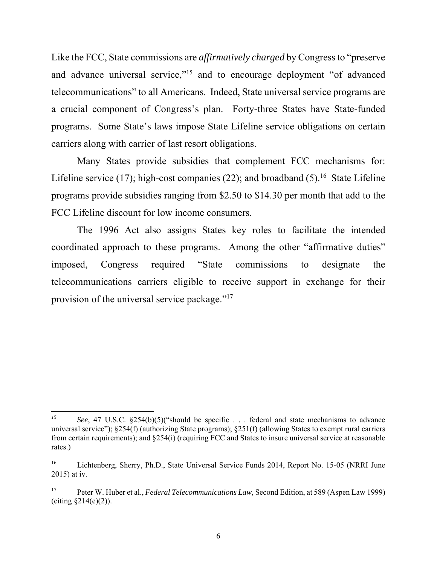Like the FCC, State commissions are *affirmatively charged* by Congress to "preserve and advance universal service,"<sup>15</sup> and to encourage deployment "of advanced" telecommunications" to all Americans. Indeed, State universal service programs are a crucial component of Congress's plan. Forty-three States have State-funded programs. Some State's laws impose State Lifeline service obligations on certain carriers along with carrier of last resort obligations.

Many States provide subsidies that complement FCC mechanisms for: Lifeline service (17); high-cost companies (22); and broadband  $(5)$ .<sup>16</sup> State Lifeline programs provide subsidies ranging from \$2.50 to \$14.30 per month that add to the FCC Lifeline discount for low income consumers.

The 1996 Act also assigns States key roles to facilitate the intended coordinated approach to these programs. Among the other "affirmative duties" imposed, Congress required "State commissions to designate the telecommunications carriers eligible to receive support in exchange for their provision of the universal service package."17

*<sup>15</sup> See*, 47 U.S.C. §254(b)(5)("should be specific . . . federal and state mechanisms to advance universal service"); §254(f) (authorizing State programs); §251(f) (allowing States to exempt rural carriers from certain requirements); and §254(i) (requiring FCC and States to insure universal service at reasonable rates.)

<sup>&</sup>lt;sup>16</sup> Lichtenberg, Sherry, Ph.D., State Universal Service Funds 2014, Report No. 15-05 (NRRI June 2015) at iv.

<sup>17</sup> Peter W. Huber et al., *Federal Telecommunications Law*, Second Edition, at 589 (Aspen Law 1999) (citing  $$214(e)(2)$ ).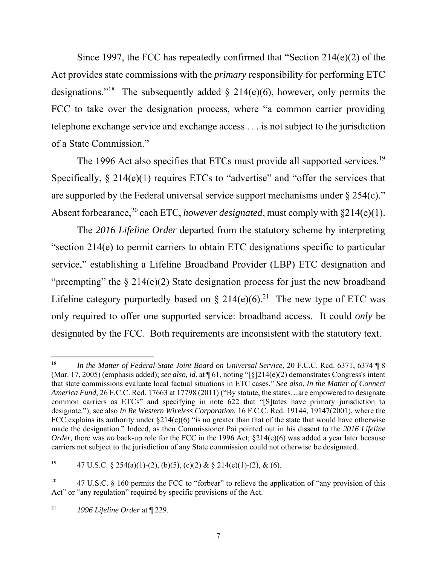Since 1997, the FCC has repeatedly confirmed that "Section 214(e)(2) of the Act provides state commissions with the *primary* responsibility for performing ETC designations."<sup>18</sup> The subsequently added  $\S$  214(e)(6), however, only permits the FCC to take over the designation process, where "a common carrier providing telephone exchange service and exchange access . . . is not subject to the jurisdiction of a State Commission."

The 1996 Act also specifies that ETCs must provide all supported services.<sup>19</sup> Specifically,  $\S 214(e)(1)$  requires ETCs to "advertise" and "offer the services that are supported by the Federal universal service support mechanisms under § 254(c)." Absent forbearance,<sup>20</sup> each ETC, *however designated*, must comply with §214(e)(1).

 The *2016 Lifeline Order* departed from the statutory scheme by interpreting "section 214(e) to permit carriers to obtain ETC designations specific to particular service," establishing a Lifeline Broadband Provider (LBP) ETC designation and "preempting" the  $\S 214(e)(2)$  State designation process for just the new broadband Lifeline category purportedly based on  $\S 214(e)(6)$ .<sup>21</sup> The new type of ETC was only required to offer one supported service: broadband access. It could *only* be designated by the FCC. Both requirements are inconsistent with the statutory text.

<sup>&</sup>lt;sup>18</sup> *In the Matter of Federal-State Joint Board on Universal Service*, 20 F.C.C. Rcd. 6371, 6374 ¶ 8 (Mar. 17, 2005) (emphasis added); *see also, id.* at ¶ 61, noting "[§]214(e)(2) demonstrates Congress's intent that state commissions evaluate local factual situations in ETC cases." *See also*, *In the Matter of Connect America Fund*, 26 F.C.C. Rcd. 17663 at 17798 (2011) ("By statute, the states…are empowered to designate common carriers as ETCs" and specifying in note 622 that "[S]tates have primary jurisdiction to designate."); see also *In Re Western Wireless Corporation.* 16 F.C.C. Rcd. 19144, 19147(2001), where the FCC explains its authority under §214(e)(6) "is no greater than that of the state that would have otherwise made the designation." Indeed, as then Commissioner Pai pointed out in his dissent to the *2016 Lifeline Order*, there was *no* back-up role for the FCC in the 1996 Act; §214(e)(6) was added a year later because carriers not subject to the jurisdiction of any State commission could not otherwise be designated.

<sup>&</sup>lt;sup>19</sup> 47 U.S.C. § 254(a)(1)-(2), (b)(5), (c)(2) & § 214(e)(1)-(2), & (6).

<sup>&</sup>lt;sup>20</sup> 47 U.S.C. § 160 permits the FCC to "forbear" to relieve the application of "any provision of this Act" or "any regulation" required by specific provisions of the Act.

<sup>21</sup> *1996 Lifeline Order* at ¶ 229.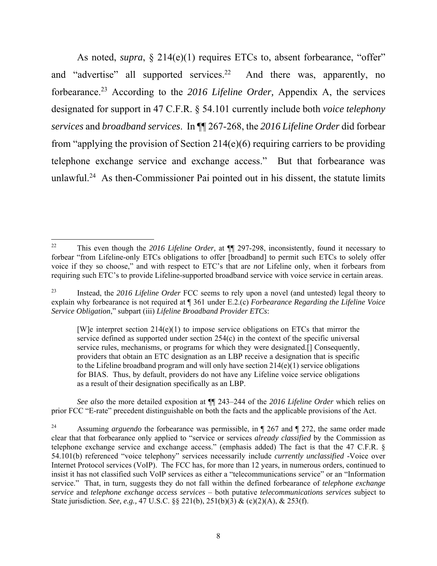As noted, *supra*, § 214(e)(1) requires ETCs to, absent forbearance, "offer" and "advertise" all supported services.<sup>22</sup> And there was, apparently, no forbearance.23 According to the *2016 Lifeline Order,* Appendix A, the services designated for support in 47 C.F.R. § 54.101 currently include both *voice telephony services* and *broadband services*. In ¶¶ 267-268, the *2016 Lifeline Order* did forbear from "applying the provision of Section 214(e)(6) requiring carriers to be providing telephone exchange service and exchange access." But that forbearance was unlawful.24 As then-Commissioner Pai pointed out in his dissent, the statute limits

[W] e interpret section  $214(e)(1)$  to impose service obligations on ETCs that mirror the service defined as supported under section 254(c) in the context of the specific universal service rules, mechanisms, or programs for which they were designated.[] Consequently, providers that obtain an ETC designation as an LBP receive a designation that is specific to the Lifeline broadband program and will only have section  $214(e)(1)$  service obligations for BIAS. Thus, by default, providers do not have any Lifeline voice service obligations as a result of their designation specifically as an LBP.

*See also* the more detailed exposition at ¶¶ 243–244 of the *2016 Lifeline Order* which relies on prior FCC "E-rate" precedent distinguishable on both the facts and the applicable provisions of the Act.

 22 This even though the *2016 Lifeline Order,* at ¶¶ 297-298, inconsistently, found it necessary to forbear "from Lifeline-only ETCs obligations to offer [broadband] to permit such ETCs to solely offer voice if they so choose," and with respect to ETC's that are *not* Lifeline only, when it forbears from requiring such ETC's to provide Lifeline-supported broadband service with voice service in certain areas.

<sup>23</sup> Instead, the *2016 Lifeline Order* FCC seems to rely upon a novel (and untested) legal theory to explain why forbearance is not required at ¶ 361 under E.2.(c) *Forbearance Regarding the Lifeline Voice Service Obligation*," subpart (iii) *Lifeline Broadband Provider ETCs*:

<sup>&</sup>lt;sup>24</sup> Assuming *arguendo* the forbearance was permissible, in  $\parallel$  267 and  $\parallel$  272, the same order made clear that that forbearance only applied to "service or services *already classified* by the Commission as telephone exchange service and exchange access." (emphasis added) The fact is that the 47 C.F.R. § 54.101(b) referenced "voice telephony" services necessarily include *currently unclassified* -Voice over Internet Protocol services (VoIP). The FCC has, for more than 12 years, in numerous orders, continued to insist it has not classified such VoIP services as either a "telecommunications service" or an "Information service." That, in turn, suggests they do not fall within the defined forbearance of *telephone exchange service* and *telephone exchange access services* – both putative *telecommunications services* subject to State jurisdiction. *See, e.g.,* 47 U.S.C. §§ 221(b), 251(b)(3) & (c)(2)(A), & 253(f).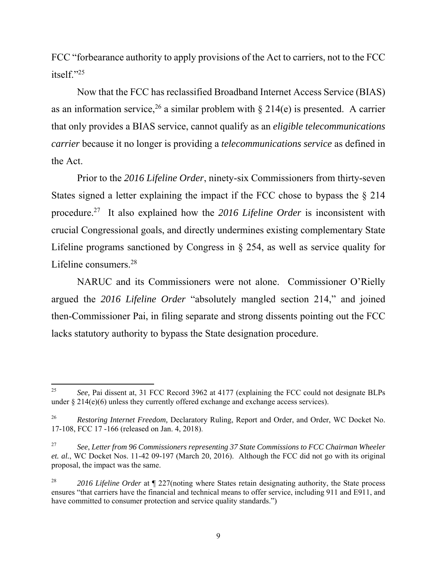FCC "forbearance authority to apply provisions of the Act to carriers, not to the FCC itself." $^{25}$ 

Now that the FCC has reclassified Broadband Internet Access Service (BIAS) as an information service,<sup>26</sup> a similar problem with  $\S$  214(e) is presented. A carrier that only provides a BIAS service, cannot qualify as an *eligible telecommunications carrier* because it no longer is providing a *telecommunications service* as defined in the Act.

 Prior to the *2016 Lifeline Order*, ninety-six Commissioners from thirty-seven States signed a letter explaining the impact if the FCC chose to bypass the § 214 procedure.27 It also explained how the *2016 Lifeline Order* is inconsistent with crucial Congressional goals, and directly undermines existing complementary State Lifeline programs sanctioned by Congress in § 254, as well as service quality for Lifeline consumers.28

NARUC and its Commissioners were not alone. Commissioner O'Rielly argued the *2016 Lifeline Order* "absolutely mangled section 214," and joined then-Commissioner Pai, in filing separate and strong dissents pointing out the FCC lacks statutory authority to bypass the State designation procedure.

<sup>25</sup> *See,* Pai dissent at, 31 FCC Record 3962 at 4177 (explaining the FCC could not designate BLPs under  $\S 214(e)(6)$  unless they currently offered exchange and exchange access services).

<sup>26</sup> *Restoring Internet Freedom,* Declaratory Ruling, Report and Order, and Order, WC Docket No. 17-108, FCC 17 -166 (released on Jan. 4, 2018).

<sup>27</sup> *See*, *Letter from 96 Commissioners representing 37 State Commissions to FCC Chairman Wheeler et. al.*, WC Docket Nos. 11-42 09-197 (March 20, 2016). Although the FCC did not go with its original proposal, the impact was the same.

<sup>28</sup> *2016 Lifeline Order* at ¶ 227(noting where States retain designating authority, the State process ensures "that carriers have the financial and technical means to offer service, including 911 and E911, and have committed to consumer protection and service quality standards.")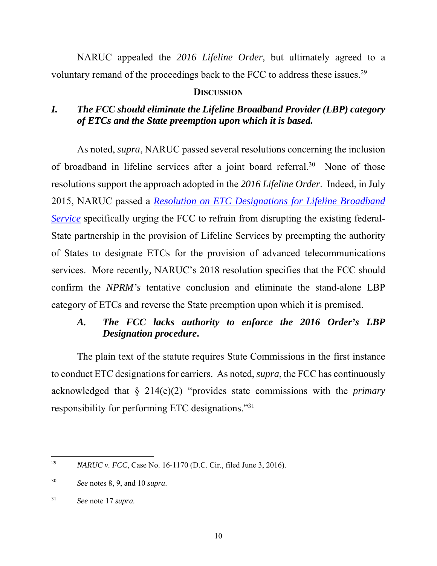NARUC appealed the *2016 Lifeline Order,* but ultimately agreed to a voluntary remand of the proceedings back to the FCC to address these issues.<sup>29</sup>

### **DISCUSSION**

# *I. The FCC should eliminate the Lifeline Broadband Provider (LBP) category of ETCs and the State preemption upon which it is based.*

As noted, *supra*, NARUC passed several resolutions concerning the inclusion of broadband in lifeline services after a joint board referral.30 None of those resolutions support the approach adopted in the *2016 Lifeline Order*. Indeed, in July 2015, NARUC passed a *Resolution on ETC Designations for Lifeline Broadband Service* specifically urging the FCC to refrain from disrupting the existing federal-State partnership in the provision of Lifeline Services by preempting the authority of States to designate ETCs for the provision of advanced telecommunications services. More recently*,* NARUC's 2018 resolution specifies that the FCC should confirm the *NPRM's* tentative conclusion and eliminate the stand-alone LBP category of ETCs and reverse the State preemption upon which it is premised.

# *A. The FCC lacks authority to enforce the 2016 Order's LBP Designation procedure***.**

The plain text of the statute requires State Commissions in the first instance to conduct ETC designations for carriers. As noted, *supra*, the FCC has continuously acknowledged that § 214(e)(2) "provides state commissions with the *primary*  responsibility for performing ETC designations."31

<sup>29</sup> *NARUC v. FCC*, Case No. 16-1170 (D.C. Cir., filed June 3, 2016).

<sup>30</sup> *See* notes 8, 9, and 10 *supra*.

<sup>31</sup> See note 17 *supra*.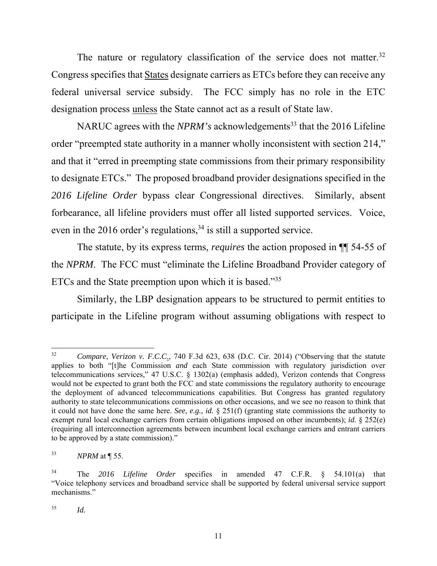The nature or regulatory classification of the service does not matter.<sup>32</sup> Congress specifies that States designate carriers as ETCs before they can receive any federal universal service subsidy. The FCC simply has no role in the ETC designation process unless the State cannot act as a result of State law.

NARUC agrees with the *NPRM's* acknowledgements<sup>33</sup> that the 2016 Lifeline order "preempted state authority in a manner wholly inconsistent with section 214," and that it "erred in preempting state commissions from their primary responsibility to designate ETCs." The proposed broadband provider designations specified in the *2016 Lifeline Order* bypass clear Congressional directives. Similarly, absent forbearance, all lifeline providers must offer all listed supported services. Voice, even in the 2016 order's regulations,  $34$  is still a supported service.

The statute, by its express terms, *requires* the action proposed in ¶¶ 54-55 of the *NPRM*. The FCC must "eliminate the Lifeline Broadband Provider category of ETCs and the State preemption upon which it is based."35

Similarly, the LBP designation appears to be structured to permit entities to participate in the Lifeline program without assuming obligations with respect to

<sup>32</sup> *Compare*, *Verizon v. F.C.C*., 740 F.3d 623, 638 (D.C. Cir. 2014) ("Observing that the statute applies to both "[t]he Commission *and* each State commission with regulatory jurisdiction over telecommunications services," 47 U.S.C. § 1302(a) (emphasis added), Verizon contends that Congress would not be expected to grant both the FCC and state commissions the regulatory authority to encourage the deployment of advanced telecommunications capabilities. But Congress has granted regulatory authority to state telecommunications commissions on other occasions, and we see no reason to think that it could not have done the same here. *See, e.g., id.* § 251(f) (granting state commissions the authority to exempt rural local exchange carriers from certain obligations imposed on other incumbents); *id.* § 252(e) (requiring all interconnection agreements between incumbent local exchange carriers and entrant carriers to be approved by a state commission)."

<sup>33</sup> *NPRM* at ¶ 55.

<sup>34</sup> The *2016 Lifeline Order* specifies in amended 47 C.F.R. § 54.101(a) that "Voice telephony services and broadband service shall be supported by federal universal service support mechanisms."

<sup>35</sup> *Id.*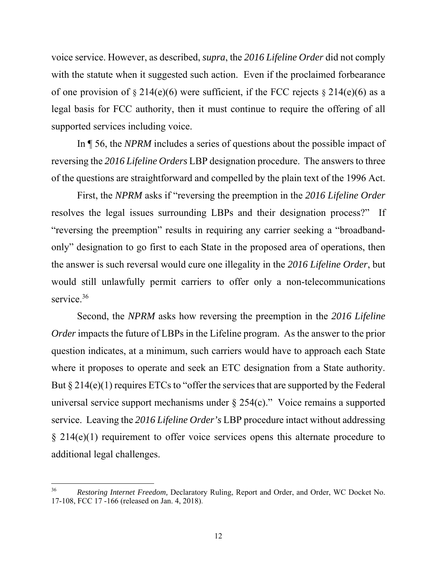voice service. However, as described, *supra*, the *2016 Lifeline Order* did not comply with the statute when it suggested such action. Even if the proclaimed forbearance of one provision of  $\S 214(e)(6)$  were sufficient, if the FCC rejects  $\S 214(e)(6)$  as a legal basis for FCC authority, then it must continue to require the offering of all supported services including voice.

In ¶ 56, the *NPRM* includes a series of questions about the possible impact of reversing the *2016 Lifeline Orders* LBP designation procedure. The answers to three of the questions are straightforward and compelled by the plain text of the 1996 Act.

First, the *NPRM* asks if "reversing the preemption in the *2016 Lifeline Order* resolves the legal issues surrounding LBPs and their designation process?" If "reversing the preemption" results in requiring any carrier seeking a "broadbandonly" designation to go first to each State in the proposed area of operations, then the answer is such reversal would cure one illegality in the *2016 Lifeline Order*, but would still unlawfully permit carriers to offer only a non-telecommunications service.<sup>36</sup>

Second, the *NPRM* asks how reversing the preemption in the *2016 Lifeline Order* impacts the future of LBPs in the Lifeline program. As the answer to the prior question indicates, at a minimum, such carriers would have to approach each State where it proposes to operate and seek an ETC designation from a State authority. But § 214(e)(1) requires ETCs to "offer the services that are supported by the Federal universal service support mechanisms under § 254(c)." Voice remains a supported service. Leaving the *2016 Lifeline Order's* LBP procedure intact without addressing  $\S$  214(e)(1) requirement to offer voice services opens this alternate procedure to additional legal challenges.

<sup>36</sup> *Restoring Internet Freedom,* Declaratory Ruling, Report and Order, and Order, WC Docket No. 17-108, FCC 17 -166 (released on Jan. 4, 2018).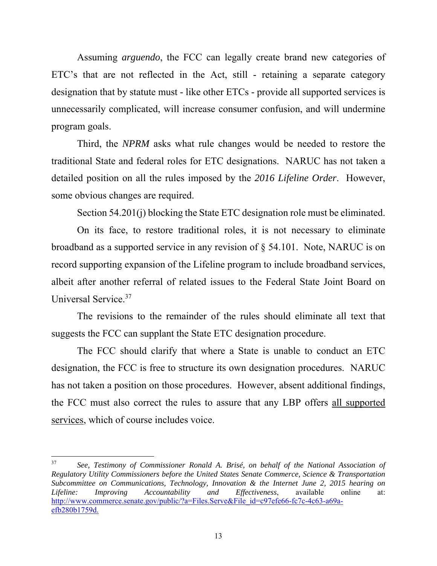Assuming *arguendo*, the FCC can legally create brand new categories of ETC's that are not reflected in the Act, still - retaining a separate category designation that by statute must - like other ETCs - provide all supported services is unnecessarily complicated, will increase consumer confusion, and will undermine program goals.

Third, the *NPRM* asks what rule changes would be needed to restore the traditional State and federal roles for ETC designations. NARUC has not taken a detailed position on all the rules imposed by the *2016 Lifeline Order*. However, some obvious changes are required.

Section 54.201(j) blocking the State ETC designation role must be eliminated.

On its face, to restore traditional roles, it is not necessary to eliminate broadband as a supported service in any revision of § 54.101. Note, NARUC is on record supporting expansion of the Lifeline program to include broadband services, albeit after another referral of related issues to the Federal State Joint Board on Universal Service.37

The revisions to the remainder of the rules should eliminate all text that suggests the FCC can supplant the State ETC designation procedure.

The FCC should clarify that where a State is unable to conduct an ETC designation, the FCC is free to structure its own designation procedures. NARUC has not taken a position on those procedures. However, absent additional findings, the FCC must also correct the rules to assure that any LBP offers all supported services, which of course includes voice.

<sup>37</sup> *See, Testimony of Commissioner Ronald A. Brisé, on behalf of the National Association of Regulatory Utility Commissioners before the United States Senate Commerce, Science & Transportation Subcommittee on Communications, Technology, Innovation & the Internet June 2, 2015 hearing on Lifeline: Improving Accountability and Effectiveness*, available online at: http://www.commerce.senate.gov/public/?a=Files.Serve&File\_id=c97efe66-fc7c-4c63-a69aefb280b1759d.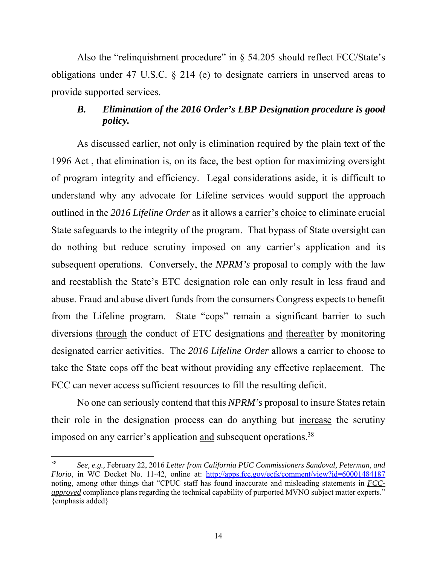Also the "relinquishment procedure" in  $\S$  54.205 should reflect FCC/State's obligations under 47 U.S.C. § 214 (e) to designate carriers in unserved areas to provide supported services.

# *B. Elimination of the 2016 Order's LBP Designation procedure is good policy.*

As discussed earlier, not only is elimination required by the plain text of the 1996 Act , that elimination is, on its face, the best option for maximizing oversight of program integrity and efficiency. Legal considerations aside, it is difficult to understand why any advocate for Lifeline services would support the approach outlined in the *2016 Lifeline Order* as it allows a carrier's choice to eliminate crucial State safeguards to the integrity of the program. That bypass of State oversight can do nothing but reduce scrutiny imposed on any carrier's application and its subsequent operations. Conversely, the *NPRM's* proposal to comply with the law and reestablish the State's ETC designation role can only result in less fraud and abuse. Fraud and abuse divert funds from the consumers Congress expects to benefit from the Lifeline program. State "cops" remain a significant barrier to such diversions through the conduct of ETC designations and thereafter by monitoring designated carrier activities. The *2016 Lifeline Order* allows a carrier to choose to take the State cops off the beat without providing any effective replacement. The FCC can never access sufficient resources to fill the resulting deficit.

No one can seriously contend that this *NPRM's* proposal to insure States retain their role in the designation process can do anything but increase the scrutiny imposed on any carrier's application and subsequent operations.38

<sup>38</sup> *See, e.g.,* February 22, 2016 *Letter from California PUC Commissioners Sandoval, Peterman, and Florio*, in WC Docket No. 11-42, online at: http://apps.fcc.gov/ecfs/comment/view?id=60001484187 noting, among other things that "CPUC staff has found inaccurate and misleading statements in *FCCapproved* compliance plans regarding the technical capability of purported MVNO subject matter experts." {emphasis added}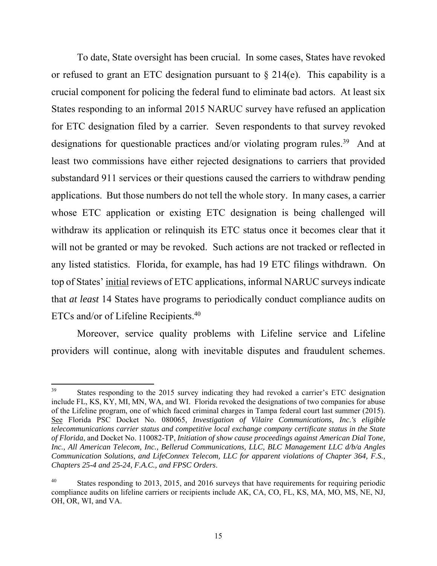To date, State oversight has been crucial*.* In some cases, States have revoked or refused to grant an ETC designation pursuant to  $\S$  214(e). This capability is a crucial component for policing the federal fund to eliminate bad actors. At least six States responding to an informal 2015 NARUC survey have refused an application for ETC designation filed by a carrier. Seven respondents to that survey revoked designations for questionable practices and/or violating program rules.<sup>39</sup> And at least two commissions have either rejected designations to carriers that provided substandard 911 services or their questions caused the carriers to withdraw pending applications. But those numbers do not tell the whole story. In many cases, a carrier whose ETC application or existing ETC designation is being challenged will withdraw its application or relinquish its ETC status once it becomes clear that it will not be granted or may be revoked. Such actions are not tracked or reflected in any listed statistics. Florida, for example, has had 19 ETC filings withdrawn.On top of States' initial reviews of ETC applications, informal NARUC surveys indicate that *at least* 14 States have programs to periodically conduct compliance audits on ETCs and/or of Lifeline Recipients.40

Moreover, service quality problems with Lifeline service and Lifeline providers will continue, along with inevitable disputes and fraudulent schemes.

<sup>&</sup>lt;sup>39</sup> States responding to the 2015 survey indicating they had revoked a carrier's ETC designation include FL, KS, KY, MI, MN, WA, and WI. Florida revoked the designations of two companies for abuse of the Lifeline program, one of which faced criminal charges in Tampa federal court last summer (2015). See Florida PSC Docket No. 080065, *Investigation of Vilaire Communications, Inc.'s eligible telecommunications carrier status and competitive local exchange company certificate status in the State of Florida*, and Docket No. 110082-TP, *Initiation of show cause proceedings against American Dial Tone, Inc., All American Telecom, Inc., Bellerud Communications, LLC, BLC Management LLC d/b/a Angles Communication Solutions, and LifeConnex Telecom, LLC for apparent violations of Chapter 364, F.S., Chapters 25-4 and 25-24, F.A.C., and FPSC Orders*.

<sup>&</sup>lt;sup>40</sup> States responding to 2013, 2015, and 2016 surveys that have requirements for requiring periodic compliance audits on lifeline carriers or recipients include AK, CA, CO, FL, KS, MA, MO, MS, NE, NJ, OH, OR, WI, and VA.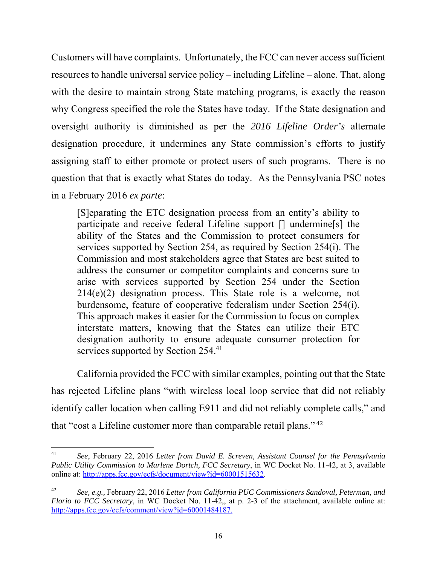Customers will have complaints. Unfortunately, the FCC can never access sufficient resources to handle universal service policy – including Lifeline – alone. That, along with the desire to maintain strong State matching programs, is exactly the reason why Congress specified the role the States have today. If the State designation and oversight authority is diminished as per the *2016 Lifeline Order's* alternate designation procedure, it undermines any State commission's efforts to justify assigning staff to either promote or protect users of such programs. There is no question that that is exactly what States do today. As the Pennsylvania PSC notes in a February 2016 *ex parte*:

[S]eparating the ETC designation process from an entity's ability to participate and receive federal Lifeline support [] undermine[s] the ability of the States and the Commission to protect consumers for services supported by Section 254, as required by Section 254(i). The Commission and most stakeholders agree that States are best suited to address the consumer or competitor complaints and concerns sure to arise with services supported by Section 254 under the Section 214(e)(2) designation process. This State role is a welcome, not burdensome, feature of cooperative federalism under Section 254(i). This approach makes it easier for the Commission to focus on complex interstate matters, knowing that the States can utilize their ETC designation authority to ensure adequate consumer protection for services supported by Section 254.<sup>41</sup>

 California provided the FCC with similar examples, pointing out that the State has rejected Lifeline plans "with wireless local loop service that did not reliably identify caller location when calling E911 and did not reliably complete calls," and that "cost a Lifeline customer more than comparable retail plans." 42

 41 *See*, February 22, 2016 *Letter from David E. Screven, Assistant Counsel for the Pennsylvania Public Utility Commission to Marlene Dortch, FCC Secretary*, in WC Docket No. 11-42, at 3, available online at: http://apps.fcc.gov/ecfs/document/view?id=60001515632.

<sup>42</sup> *See, e.g.,* February 22, 2016 *Letter from California PUC Commissioners Sandoval, Peterman, and Florio to FCC Secretary*, in WC Docket No. 11-42,, at p. 2-3 of the attachment, available online at: http://apps.fcc.gov/ecfs/comment/view?id=60001484187.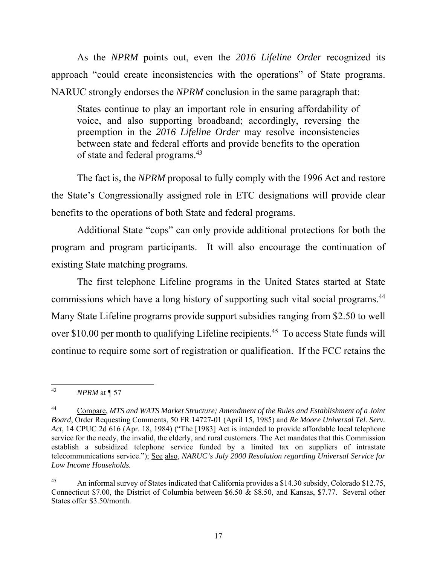As the *NPRM* points out, even the *2016 Lifeline Order* recognized its approach "could create inconsistencies with the operations" of State programs. NARUC strongly endorses the *NPRM* conclusion in the same paragraph that:

States continue to play an important role in ensuring affordability of voice, and also supporting broadband; accordingly, reversing the preemption in the *2016 Lifeline Order* may resolve inconsistencies between state and federal efforts and provide benefits to the operation of state and federal programs.43

 The fact is, the *NPRM* proposal to fully comply with the 1996 Act and restore the State's Congressionally assigned role in ETC designations will provide clear benefits to the operations of both State and federal programs.

Additional State "cops" can only provide additional protections for both the program and program participants. It will also encourage the continuation of existing State matching programs.

 The first telephone Lifeline programs in the United States started at State commissions which have a long history of supporting such vital social programs.<sup>44</sup> Many State Lifeline programs provide support subsidies ranging from \$2.50 to well over \$10.00 per month to qualifying Lifeline recipients.<sup>45</sup> To access State funds will continue to require some sort of registration or qualification. If the FCC retains the

 43 *NPRM* at ¶ 57

<sup>44</sup> Compare, *MTS and WATS Market Structure; Amendment of the Rules and Establishment of a Joint Board*, Order Requesting Comments, 50 FR 14727-01 (April 15, 1985) and *Re Moore Universal Tel. Serv. Act*, 14 CPUC 2d 616 (Apr. 18, 1984) ("The [1983] Act is intended to provide affordable local telephone service for the needy, the invalid, the elderly, and rural customers. The Act mandates that this Commission establish a subsidized telephone service funded by a limited tax on suppliers of intrastate telecommunications service."); See also, *NARUC's July 2000 Resolution regarding Universal Service for Low Income Households.* 

<sup>&</sup>lt;sup>45</sup> An informal survey of States indicated that California provides a \$14.30 subsidy, Colorado \$12.75, Connecticut \$7.00, the District of Columbia between \$6.50 & \$8.50, and Kansas, \$7.77. Several other States offer \$3.50/month.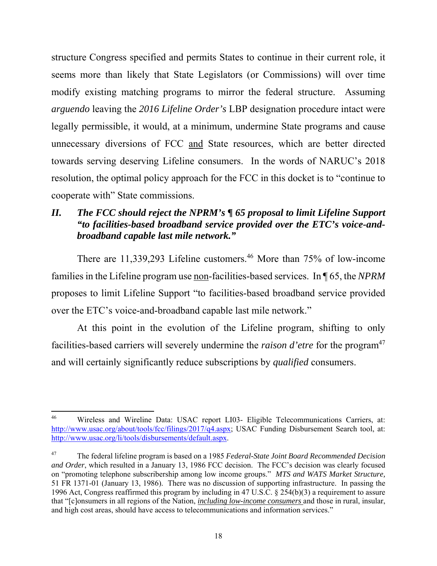structure Congress specified and permits States to continue in their current role, it seems more than likely that State Legislators (or Commissions) will over time modify existing matching programs to mirror the federal structure. Assuming *arguendo* leaving the *2016 Lifeline Order's* LBP designation procedure intact were legally permissible, it would, at a minimum, undermine State programs and cause unnecessary diversions of FCC and State resources, which are better directed towards serving deserving Lifeline consumers. In the words of NARUC's 2018 resolution, the optimal policy approach for the FCC in this docket is to "continue to cooperate with" State commissions.

# *II. The FCC should reject the NPRM's ¶ 65 proposal to limit Lifeline Support "to facilities-based broadband service provided over the ETC's voice-andbroadband capable last mile network."*

There are 11,339,293 Lifeline customers.<sup>46</sup> More than 75% of low-income families in the Lifeline program use non-facilities-based services. In ¶ 65, the *NPRM* proposes to limit Lifeline Support "to facilities-based broadband service provided over the ETC's voice-and-broadband capable last mile network."

At this point in the evolution of the Lifeline program, shifting to only facilities-based carriers will severely undermine the *raison d'etre* for the program<sup>47</sup> and will certainly significantly reduce subscriptions by *qualified* consumers.

<sup>46</sup> Wireless and Wireline Data: USAC report LI03- Eligible Telecommunications Carriers, at: http://www.usac.org/about/tools/fcc/filings/2017/q4.aspx; USAC Funding Disbursement Search tool, at: http://www.usac.org/li/tools/disbursements/default.aspx.

<sup>47</sup> The federal lifeline program is based on a 1985 *Federal-State Joint Board Recommended Decision and Order*, which resulted in a January 13, 1986 FCC decision. The FCC's decision was clearly focused on "promoting telephone subscribership among low income groups." *MTS and WATS Market Structure,*  51 FR 1371-01 (January 13, 1986). There was no discussion of supporting infrastructure. In passing the 1996 Act, Congress reaffirmed this program by including in 47 U.S.C. § 254(b)(3) a requirement to assure that "[c]onsumers in all regions of the Nation, *including low-income consumers* and those in rural, insular, and high cost areas, should have access to telecommunications and information services."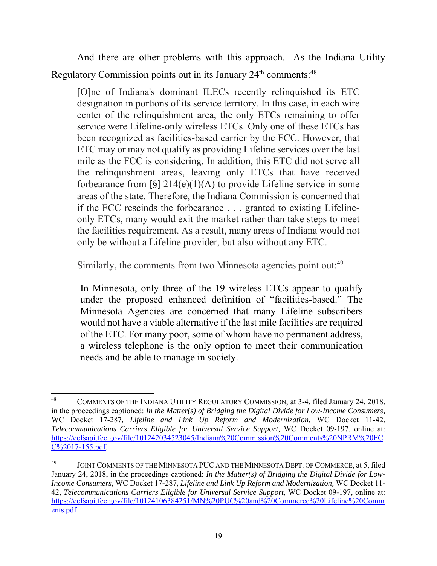And there are other problems with this approach. As the Indiana Utility Regulatory Commission points out in its January 24<sup>th</sup> comments:<sup>48</sup>

[O]ne of Indiana's dominant ILECs recently relinquished its ETC designation in portions of its service territory. In this case, in each wire center of the relinquishment area, the only ETCs remaining to offer service were Lifeline-only wireless ETCs. Only one of these ETCs has been recognized as facilities-based carrier by the FCC. However, that ETC may or may not qualify as providing Lifeline services over the last mile as the FCC is considering. In addition, this ETC did not serve all the relinquishment areas, leaving only ETCs that have received forbearance from [§]  $214(e)(1)(A)$  to provide Lifeline service in some areas of the state. Therefore, the Indiana Commission is concerned that if the FCC rescinds the forbearance . . . granted to existing Lifelineonly ETCs, many would exit the market rather than take steps to meet the facilities requirement. As a result, many areas of Indiana would not only be without a Lifeline provider, but also without any ETC.

Similarly, the comments from two Minnesota agencies point out:<sup>49</sup>

In Minnesota, only three of the 19 wireless ETCs appear to qualify under the proposed enhanced definition of "facilities-based." The Minnesota Agencies are concerned that many Lifeline subscribers would not have a viable alternative if the last mile facilities are required of the ETC. For many poor, some of whom have no permanent address, a wireless telephone is the only option to meet their communication needs and be able to manage in society.

<sup>48</sup> COMMENTS OF THE INDIANA UTILITY REGULATORY COMMISSION, at 3-4, filed January 24, 2018, in the proceedings captioned: *In the Matter(s) of Bridging the Digital Divide for Low-Income Consumers,*  WC Docket 17-287*, Lifeline and Link Up Reform and Modernization,* WC Docket 11-42, *Telecommunications Carriers Eligible for Universal Service Support,* WC Docket 09-197, online at: https://ecfsapi.fcc.gov/file/101242034523045/Indiana%20Commission%20Comments%20NPRM%20FC C%2017-155.pdf.

JOINT COMMENTS OF THE MINNESOTA PUC AND THE MINNESOTA DEPT. OF COMMERCE, at 5, filed January 24, 2018, in the proceedings captioned: *In the Matter(s) of Bridging the Digital Divide for Low-Income Consumers,* WC Docket 17-287*, Lifeline and Link Up Reform and Modernization,* WC Docket 11- 42, *Telecommunications Carriers Eligible for Universal Service Support,* WC Docket 09-197, online at: https://ecfsapi.fcc.gov/file/10124106384251/MN%20PUC%20and%20Commerce%20Lifeline%20Comm ents.pdf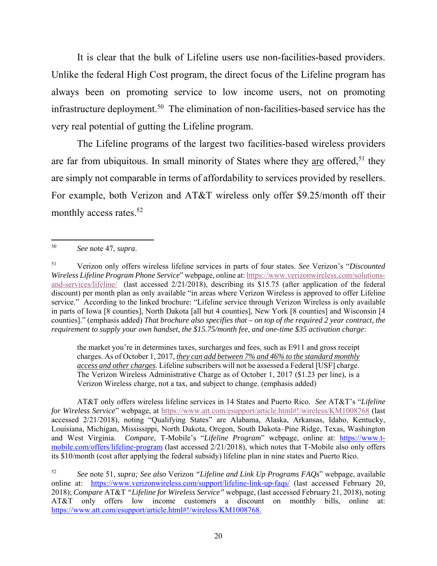It is clear that the bulk of Lifeline users use non-facilities-based providers. Unlike the federal High Cost program, the direct focus of the Lifeline program has always been on promoting service to low income users, not on promoting infrastructure deployment.<sup>50</sup> The elimination of non-facilities-based service has the very real potential of gutting the Lifeline program.

The Lifeline programs of the largest two facilities-based wireless providers are far from ubiquitous. In small minority of States where they are offered,  $51$  they are simply not comparable in terms of affordability to services provided by resellers. For example, both Verizon and AT&T wireless only offer \$9.25/month off their monthly access rates.<sup>52</sup>

the market you're in determines taxes, surcharges and fees, such as E911 and gross receipt charges. As of October 1, 2017*, they can add between 7% and 46% to the standard monthly access and other charges*. Lifeline subscribers will not be assessed a Federal [USF] charge. The Verizon Wireless Administrative Charge as of October 1, 2017 (\$1.23 per line), is a Verizon Wireless charge, not a tax, and subject to change. (emphasis added)

AT&T only offers wireless lifeline services in 14 States and Puerto Rico. *See* AT&T's "*Lifeline for Wireless Service*" webpage, at https://www.att.com/esupport/article.html#!/wireless/KM1008768 (last accessed 2/21/2018), noting "Qualifying States" are Alabama, Alaska, Arkansas, Idaho, Kentucky, Louisiana, Michigan, Mississippi, North Dakota, Oregon, South Dakota–Pine Ridge, Texas, Washington and West Virginia. *Compare,* T-Mobile's "*Lifeline Program*" webpage, online at: https://www.tmobile.com/offers/lifeline-program (last accessed 2/21/2018), which notes that T-Mobile also only offers its \$10/month (cost after applying the federal subsidy) lifeline plan in nine states and Puerto Rico.

<sup>50</sup> *See* note 47, *supra*.

<sup>51</sup> Verizon only offers wireless lifeline services in parts of four states. *See* Verizon's "*Discounted Wireless Lifeline Program Phone Service*" webpage, online at: https://www.verizonwireless.com/solutionsand-services/lifeline/ (last accessed 2/21/2018), describing its \$15.75 (after application of the federal discount) per month plan as only available "in areas where Verizon Wireless is approved to offer Lifeline service." According to the linked brochure: "Lifeline service through Verizon Wireless is only available in parts of Iowa [8 counties], North Dakota [all but 4 counties], New York [8 counties] and Wisconsin [4 counties]." (emphasis added) *That brochure also specifies that – on top of the required 2 year contract, the requirement to supply your own handset, the \$15.75/month fee, and one-time \$35 activation charge*:

<sup>52</sup> *See* note 51, *supra; See also* Verizon *"Lifeline and Link Up Programs FAQs*" webpage, available online at: https://www.verizonwireless.com/support/lifeline-link-up-faqs/ (last accessed February 20, 2018); *Compare* AT&T *"Lifeline for Wireless Service"* webpage, (last accessed February 21, 2018), noting AT&T only offers low income customers a discount on monthly bills, online at: https://www.att.com/esupport/article.html#!/wireless/KM1008768.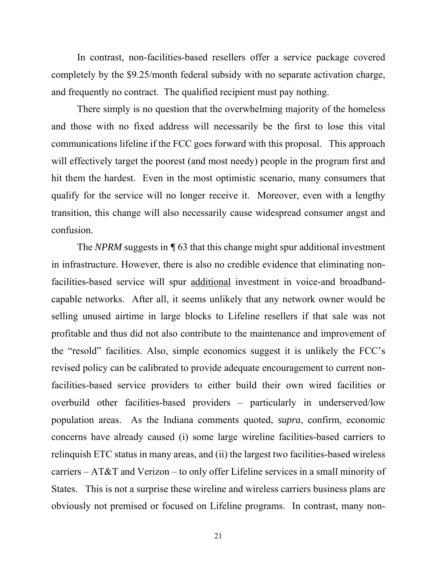In contrast, non-facilities-based resellers offer a service package covered completely by the \$9.25/month federal subsidy with no separate activation charge, and frequently no contract. The qualified recipient must pay nothing.

There simply is no question that the overwhelming majority of the homeless and those with no fixed address will necessarily be the first to lose this vital communications lifeline if the FCC goes forward with this proposal. This approach will effectively target the poorest (and most needy) people in the program first and hit them the hardest. Even in the most optimistic scenario, many consumers that qualify for the service will no longer receive it. Moreover, even with a lengthy transition, this change will also necessarily cause widespread consumer angst and confusion.

The *NPRM* suggests in *¶* 63 that this change might spur additional investment in infrastructure. However, there is also no credible evidence that eliminating nonfacilities-based service will spur additional investment in voice-and broadbandcapable networks. After all, it seems unlikely that any network owner would be selling unused airtime in large blocks to Lifeline resellers if that sale was not profitable and thus did not also contribute to the maintenance and improvement of the "resold" facilities. Also, simple economics suggest it is unlikely the FCC's revised policy can be calibrated to provide adequate encouragement to current nonfacilities-based service providers to either build their own wired facilities or overbuild other facilities-based providers – particularly in underserved/low population areas. As the Indiana comments quoted, *supra*, confirm, economic concerns have already caused (i) some large wireline facilities-based carriers to relinquish ETC status in many areas, and (ii) the largest two facilities-based wireless carriers – AT&T and Verizon – to only offer Lifeline services in a small minority of States. This is not a surprise these wireline and wireless carriers business plans are obviously not premised or focused on Lifeline programs. In contrast, many non-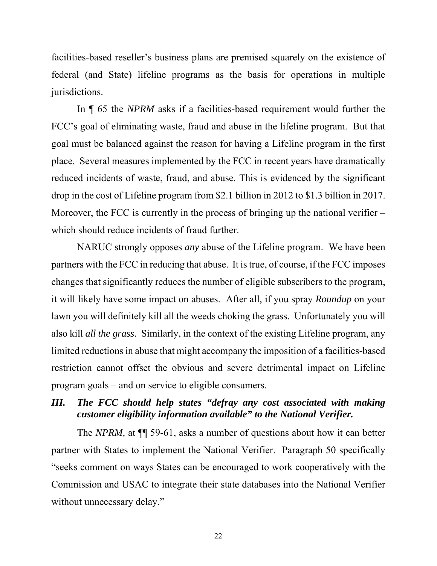facilities-based reseller's business plans are premised squarely on the existence of federal (and State) lifeline programs as the basis for operations in multiple jurisdictions.

In ¶ 65 the *NPRM* asks if a facilities-based requirement would further the FCC's goal of eliminating waste, fraud and abuse in the lifeline program. But that goal must be balanced against the reason for having a Lifeline program in the first place. Several measures implemented by the FCC in recent years have dramatically reduced incidents of waste, fraud, and abuse. This is evidenced by the significant drop in the cost of Lifeline program from \$2.1 billion in 2012 to \$1.3 billion in 2017. Moreover, the FCC is currently in the process of bringing up the national verifier – which should reduce incidents of fraud further.

NARUC strongly opposes *any* abuse of the Lifeline program. We have been partners with the FCC in reducing that abuse. It is true, of course, if the FCC imposes changes that significantly reduces the number of eligible subscribers to the program, it will likely have some impact on abuses. After all, if you spray *Roundup* on your lawn you will definitely kill all the weeds choking the grass. Unfortunately you will also kill *all the grass*. Similarly, in the context of the existing Lifeline program, any limited reductions in abuse that might accompany the imposition of a facilities-based restriction cannot offset the obvious and severe detrimental impact on Lifeline program goals – and on service to eligible consumers.

# *III. The FCC should help states "defray any cost associated with making customer eligibility information available" to the National Verifier.*

The *NPRM*, at  $\P$  59-61, asks a number of questions about how it can better partner with States to implement the National Verifier. Paragraph 50 specifically "seeks comment on ways States can be encouraged to work cooperatively with the Commission and USAC to integrate their state databases into the National Verifier without unnecessary delay."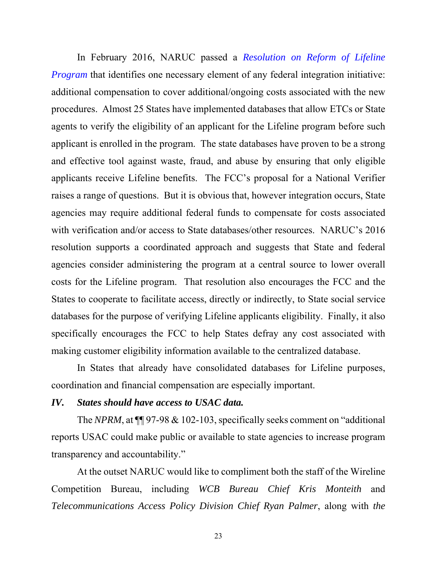In February 2016, NARUC passed a *Resolution on Reform of Lifeline Program* that identifies one necessary element of any federal integration initiative: additional compensation to cover additional/ongoing costs associated with the new procedures. Almost 25 States have implemented databases that allow ETCs or State agents to verify the eligibility of an applicant for the Lifeline program before such applicant is enrolled in the program. The state databases have proven to be a strong and effective tool against waste, fraud, and abuse by ensuring that only eligible applicants receive Lifeline benefits. The FCC's proposal for a National Verifier raises a range of questions. But it is obvious that, however integration occurs, State agencies may require additional federal funds to compensate for costs associated with verification and/or access to State databases/other resources. NARUC's 2016 resolution supports a coordinated approach and suggests that State and federal agencies consider administering the program at a central source to lower overall costs for the Lifeline program. That resolution also encourages the FCC and the States to cooperate to facilitate access, directly or indirectly, to State social service databases for the purpose of verifying Lifeline applicants eligibility. Finally, it also specifically encourages the FCC to help States defray any cost associated with making customer eligibility information available to the centralized database.

In States that already have consolidated databases for Lifeline purposes, coordination and financial compensation are especially important.

#### *IV. States should have access to USAC data.*

The *NPRM*, at  $\P$  97-98 & 102-103, specifically seeks comment on "additional" reports USAC could make public or available to state agencies to increase program transparency and accountability."

At the outset NARUC would like to compliment both the staff of the Wireline Competition Bureau, including *WCB Bureau Chief Kris Monteith* and *Telecommunications Access Policy Division Chief Ryan Palmer*, along with *the*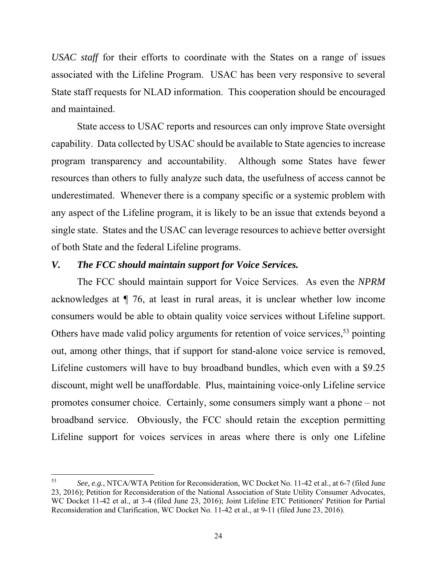*USAC staff* for their efforts to coordinate with the States on a range of issues associated with the Lifeline Program. USAC has been very responsive to several State staff requests for NLAD information. This cooperation should be encouraged and maintained.

State access to USAC reports and resources can only improve State oversight capability. Data collected by USAC should be available to State agencies to increase program transparency and accountability. Although some States have fewer resources than others to fully analyze such data, the usefulness of access cannot be underestimated. Whenever there is a company specific or a systemic problem with any aspect of the Lifeline program, it is likely to be an issue that extends beyond a single state. States and the USAC can leverage resources to achieve better oversight of both State and the federal Lifeline programs.

#### *V. The FCC should maintain support for Voice Services.*

 The FCC should maintain support for Voice Services. As even the *NPRM* acknowledges at ¶ 76, at least in rural areas, it is unclear whether low income consumers would be able to obtain quality voice services without Lifeline support. Others have made valid policy arguments for retention of voice services,  $53$  pointing out, among other things, that if support for stand-alone voice service is removed, Lifeline customers will have to buy broadband bundles, which even with a \$9.25 discount, might well be unaffordable. Plus, maintaining voice-only Lifeline service promotes consumer choice. Certainly, some consumers simply want a phone – not broadband service. Obviously, the FCC should retain the exception permitting Lifeline support for voices services in areas where there is only one Lifeline

<sup>53</sup> *See, e.g.*, NTCA/WTA Petition for Reconsideration, WC Docket No. 11-42 et al., at 6-7 (filed June 23, 2016); Petition for Reconsideration of the National Association of State Utility Consumer Advocates, WC Docket 11-42 et al., at 3-4 (filed June 23, 2016); Joint Lifeline ETC Petitioners' Petition for Partial Reconsideration and Clarification, WC Docket No. 11-42 et al., at 9-11 (filed June 23, 2016).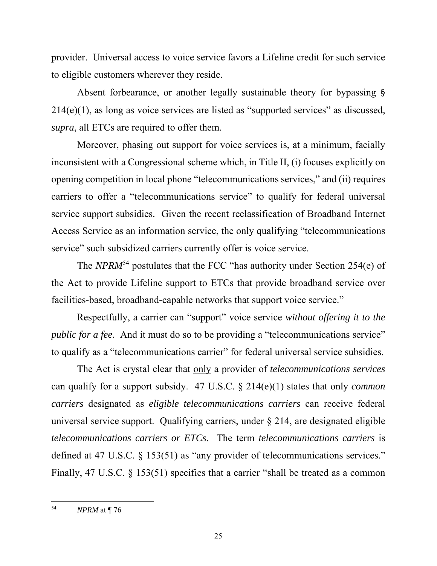provider. Universal access to voice service favors a Lifeline credit for such service to eligible customers wherever they reside.

 Absent forbearance, or another legally sustainable theory for bypassing § 214(e)(1), as long as voice services are listed as "supported services" as discussed, *supra*, all ETCs are required to offer them.

 Moreover, phasing out support for voice services is, at a minimum, facially inconsistent with a Congressional scheme which, in Title II, (i) focuses explicitly on opening competition in local phone "telecommunications services," and (ii) requires carriers to offer a "telecommunications service" to qualify for federal universal service support subsidies. Given the recent reclassification of Broadband Internet Access Service as an information service, the only qualifying "telecommunications service" such subsidized carriers currently offer is voice service.

 The *NPRM*54 postulates that the FCC "has authority under Section 254(e) of the Act to provide Lifeline support to ETCs that provide broadband service over facilities-based, broadband-capable networks that support voice service."

 Respectfully, a carrier can "support" voice service *without offering it to the public for a fee.* And it must do so to be providing a "telecommunications service" to qualify as a "telecommunications carrier" for federal universal service subsidies.

The Act is crystal clear that only a provider of *telecommunications services* can qualify for a support subsidy. 47 U.S.C. § 214(e)(1) states that only *common carriers* designated as *eligible telecommunications carriers* can receive federal universal service support. Qualifying carriers, under § 214, are designated eligible *telecommunications carriers or ETCs*. The term *telecommunications carriers* is defined at 47 U.S.C. § 153(51) as "any provider of telecommunications services." Finally, 47 U.S.C. § 153(51) specifies that a carrier "shall be treated as a common

<sup>54</sup> *NPRM* at ¶ 76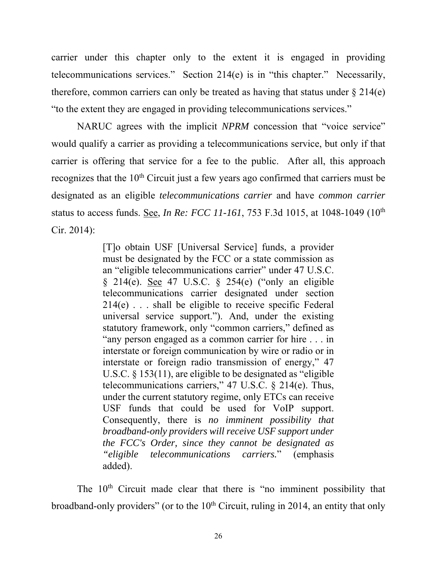carrier under this chapter only to the extent it is engaged in providing telecommunications services." Section 214(e) is in "this chapter." Necessarily, therefore, common carriers can only be treated as having that status under  $\S 214(e)$ "to the extent they are engaged in providing telecommunications services."

NARUC agrees with the implicit *NPRM* concession that "voice service" would qualify a carrier as providing a telecommunications service, but only if that carrier is offering that service for a fee to the public. After all, this approach recognizes that the  $10<sup>th</sup>$  Circuit just a few years ago confirmed that carriers must be designated as an eligible *telecommunications carrier* and have *common carrier* status to access funds. See, *In Re: FCC 11-161*, 753 F.3d 1015, at 1048-1049 (10th Cir. 2014):

> [T]o obtain USF [Universal Service] funds, a provider must be designated by the FCC or a state commission as an "eligible telecommunications carrier" under 47 U.S.C. § 214(e). See 47 U.S.C. § 254(e) ("only an eligible telecommunications carrier designated under section 214(e) . . . shall be eligible to receive specific Federal universal service support."). And, under the existing statutory framework, only "common carriers," defined as "any person engaged as a common carrier for hire . . . in interstate or foreign communication by wire or radio or in interstate or foreign radio transmission of energy," 47 U.S.C. § 153(11), are eligible to be designated as "eligible telecommunications carriers," 47 U.S.C. § 214(e). Thus, under the current statutory regime, only ETCs can receive USF funds that could be used for VoIP support. Consequently, there is *no imminent possibility that broadband-only providers will receive USF support under the FCC's Order, since they cannot be designated as "eligible telecommunications carriers.*" (emphasis added).

The  $10<sup>th</sup>$  Circuit made clear that there is "no imminent possibility that broadband-only providers" (or to the  $10<sup>th</sup>$  Circuit, ruling in 2014, an entity that only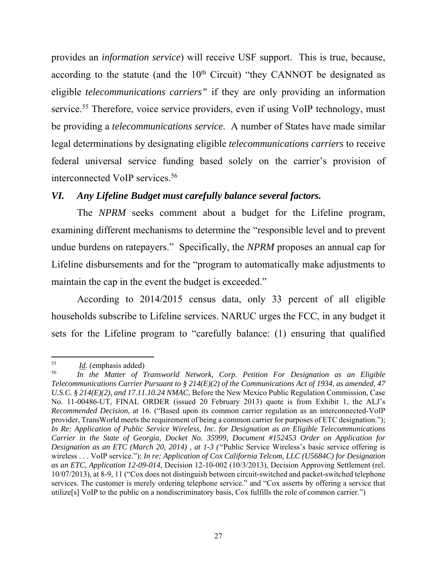provides an *information service*) will receive USF support. This is true, because, according to the statute (and the  $10<sup>th</sup>$  Circuit) "they CANNOT be designated as eligible *telecommunications carriers"* if they are only providing an information service.<sup>55</sup> Therefore, voice service providers, even if using VoIP technology, must be providing a *telecommunications service*. A number of States have made similar legal determinations by designating eligible *telecommunications carriers* to receive federal universal service funding based solely on the carrier's provision of interconnected VoIP services.56

## *VI. Any Lifeline Budget must carefully balance several factors.*

The *NPRM* seeks comment about a budget for the Lifeline program, examining different mechanisms to determine the "responsible level and to prevent undue burdens on ratepayers." Specifically, the *NPRM* proposes an annual cap for Lifeline disbursements and for the "program to automatically make adjustments to maintain the cap in the event the budget is exceeded."

According to 2014/2015 census data, only 33 percent of all eligible households subscribe to Lifeline services. NARUC urges the FCC, in any budget it sets for the Lifeline program to "carefully balance: (1) ensuring that qualified

  $rac{55}{56}$  *<u>Id</u>.* (emphasis added)

<sup>56</sup> *In the Matter of Transworld Network, Corp. Petition For Designation as an Eligible Telecommunications Carrier Pursuant to § 214(E)(2) of the Communications Act of 1934, as amended, 47 U.S.C. § 214(E)(2), and 17.11.10.24 NMAC*, Before the New Mexico Public Regulation Commission, Case No. 11-00486-UT, FINAL ORDER (issued 20 February 2013) quote is from Exhibit 1, the ALJ's *Recommended Decision*, at 16. ("Based upon its common carrier regulation as an interconnected-VoIP provider, TransWorld meets the requirement of being a common carrier for purposes of ETC designation."); *In Re: Application of Public Service Wireless, Inc. for Designation as an Eligible Telecommunications Carrier in the State of Georgia, Docket No. 35999, Document #152453 Order on Application for Designation as an ETC (March 20, 2014) , at 1-3 ("*Public Service Wireless's basic service offering is wireless . . . VoIP service."); *In re: Application of Cox California Telcom, LLC (U5684C) for Designation as an ETC, Application 12-09-014*, Decision 12-10-002 (10/3/2013), Decision Approving Settlement (rel. 10/07/2013), at 8-9, 11 ("Cox does not distinguish between circuit-switched and packet-switched telephone services. The customer is merely ordering telephone service." and "Cox asserts by offering a service that utilize[s] VoIP to the public on a nondiscriminatory basis, Cox fulfills the role of common carrier.")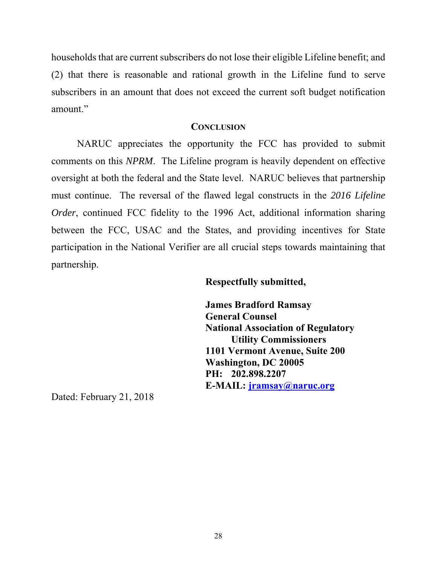households that are current subscribers do not lose their eligible Lifeline benefit; and (2) that there is reasonable and rational growth in the Lifeline fund to serve subscribers in an amount that does not exceed the current soft budget notification amount."

#### **CONCLUSION**

NARUC appreciates the opportunity the FCC has provided to submit comments on this *NPRM*. The Lifeline program is heavily dependent on effective oversight at both the federal and the State level. NARUC believes that partnership must continue. The reversal of the flawed legal constructs in the *2016 Lifeline Order*, continued FCC fidelity to the 1996 Act, additional information sharing between the FCC, USAC and the States, and providing incentives for State participation in the National Verifier are all crucial steps towards maintaining that partnership.

#### **Respectfully submitted,**

 **James Bradford Ramsay General Counsel National Association of Regulatory Utility Commissioners 1101 Vermont Avenue, Suite 200 Washington, DC 20005 PH: 202.898.2207 E-MAIL: jramsay@naruc.org**

Dated: February 21, 2018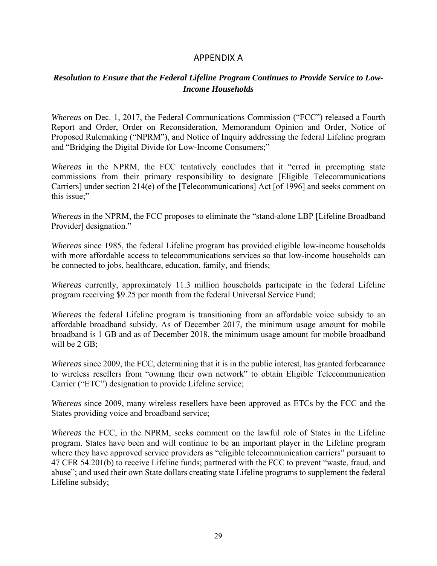### APPENDIX A

### *Resolution to Ensure that the Federal Lifeline Program Continues to Provide Service to Low-Income Households*

*Whereas* on Dec. 1, 2017, the Federal Communications Commission ("FCC") released a Fourth Report and Order, Order on Reconsideration, Memorandum Opinion and Order, Notice of Proposed Rulemaking ("NPRM"), and Notice of Inquiry addressing the federal Lifeline program and "Bridging the Digital Divide for Low-Income Consumers;"

*Whereas* in the NPRM, the FCC tentatively concludes that it "erred in preempting state commissions from their primary responsibility to designate [Eligible Telecommunications Carriers] under section 214(e) of the [Telecommunications] Act [of 1996] and seeks comment on this issue;"

*Whereas* in the NPRM, the FCC proposes to eliminate the "stand-alone LBP [Lifeline Broadband] Provider] designation."

*Whereas* since 1985, the federal Lifeline program has provided eligible low-income households with more affordable access to telecommunications services so that low-income households can be connected to jobs, healthcare, education, family, and friends;

*Whereas* currently, approximately 11.3 million households participate in the federal Lifeline program receiving \$9.25 per month from the federal Universal Service Fund;

*Whereas* the federal Lifeline program is transitioning from an affordable voice subsidy to an affordable broadband subsidy. As of December 2017, the minimum usage amount for mobile broadband is 1 GB and as of December 2018, the minimum usage amount for mobile broadband will be 2 GB;

*Whereas* since 2009, the FCC, determining that it is in the public interest, has granted forbearance to wireless resellers from "owning their own network" to obtain Eligible Telecommunication Carrier ("ETC") designation to provide Lifeline service;

*Whereas* since 2009, many wireless resellers have been approved as ETCs by the FCC and the States providing voice and broadband service;

*Whereas* the FCC, in the NPRM, seeks comment on the lawful role of States in the Lifeline program. States have been and will continue to be an important player in the Lifeline program where they have approved service providers as "eligible telecommunication carriers" pursuant to 47 CFR 54.201(b) to receive Lifeline funds; partnered with the FCC to prevent "waste, fraud, and abuse"; and used their own State dollars creating state Lifeline programs to supplement the federal Lifeline subsidy;